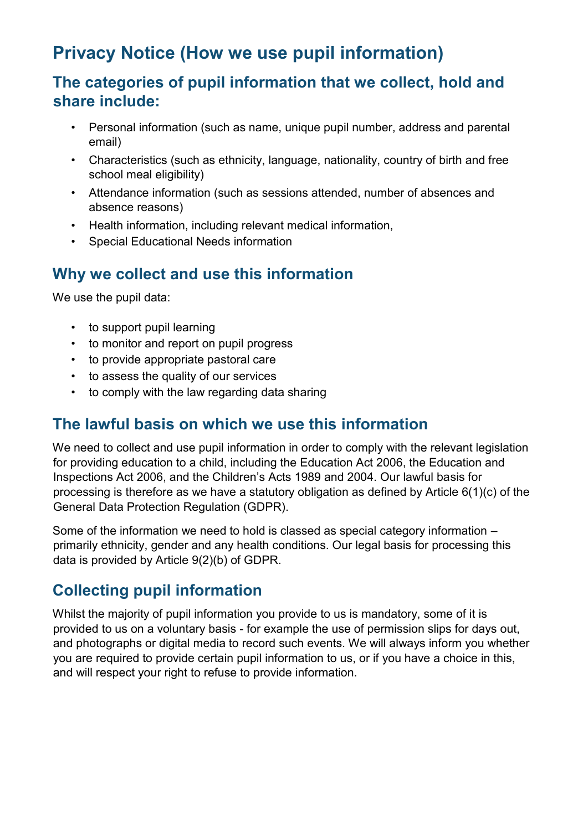# **Privacy Notice (How we use pupil information)**

### **The categories of pupil information that we collect, hold and share include:**

- Personal information (such as name, unique pupil number, address and parental email)
- Characteristics (such as ethnicity, language, nationality, country of birth and free school meal eligibility)
- Attendance information (such as sessions attended, number of absences and absence reasons)
- Health information, including relevant medical information,
- Special Educational Needs information

## **Why we collect and use this information**

We use the pupil data:

- to support pupil learning
- to monitor and report on pupil progress
- to provide appropriate pastoral care
- to assess the quality of our services
- to comply with the law regarding data sharing

#### **The lawful basis on which we use this information**

We need to collect and use pupil information in order to comply with the relevant legislation for providing education to a child, including the Education Act 2006, the Education and Inspections Act 2006, and the Children's Acts 1989 and 2004. Our lawful basis for processing is therefore as we have a statutory obligation as defined by Article 6(1)(c) of the General Data Protection Regulation (GDPR).

Some of the information we need to hold is classed as special category information – primarily ethnicity, gender and any health conditions. Our legal basis for processing this data is provided by Article 9(2)(b) of GDPR.

## **Collecting pupil information**

Whilst the majority of pupil information you provide to us is mandatory, some of it is provided to us on a voluntary basis - for example the use of permission slips for days out, and photographs or digital media to record such events. We will always inform you whether you are required to provide certain pupil information to us, or if you have a choice in this, and will respect your right to refuse to provide information.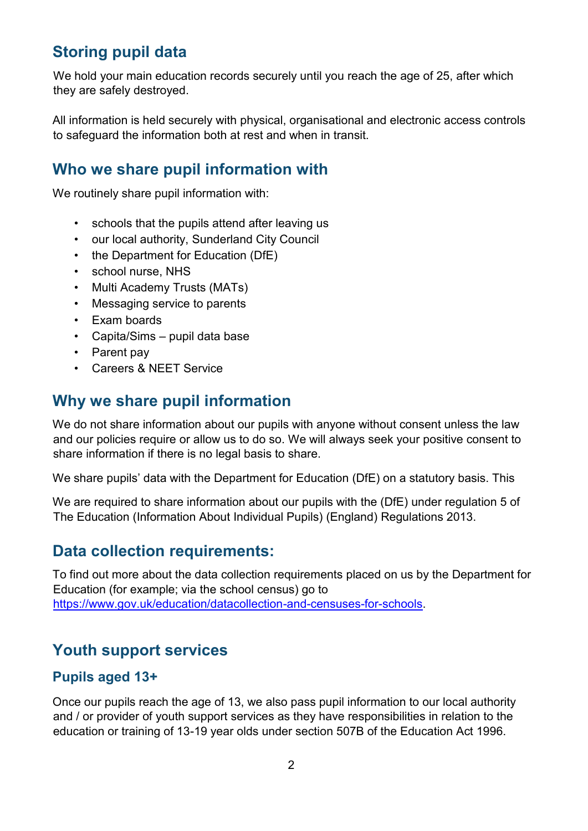## **Storing pupil data**

We hold your main education records securely until you reach the age of 25, after which they are safely destroyed.

All information is held securely with physical, organisational and electronic access controls to safeguard the information both at rest and when in transit.

## **Who we share pupil information with**

We routinely share pupil information with:

- schools that the pupils attend after leaving us
- our local authority, Sunderland City Council
- the Department for Education (DfE)
- school nurse, NHS
- Multi Academy Trusts (MATs)
- Messaging service to parents
- Exam boards
- Capita/Sims pupil data base
- Parent pay
- Careers & NEET Service

#### **Why we share pupil information**

We do not share information about our pupils with anyone without consent unless the law and our policies require or allow us to do so. We will always seek your positive consent to share information if there is no legal basis to share.

We share pupils' data with the Department for Education (DfE) on a statutory basis. This

We are required to share information about our pupils with the (DfE) under regulation 5 of The Education (Information About Individual Pupils) (England) Regulations 2013.

#### **Data collection requirements:**

To find out more about the data collection requirements placed on us by the Department for Education (for example; via the school census) go to https://www.gov.uk/education/datacollection-and-censuses-for-schools.

### **Youth support services**

#### **Pupils aged 13+**

Once our pupils reach the age of 13, we also pass pupil information to our local authority and / or provider of youth support services as they have responsibilities in relation to the education or training of 13-19 year olds under section 507B of the Education Act 1996.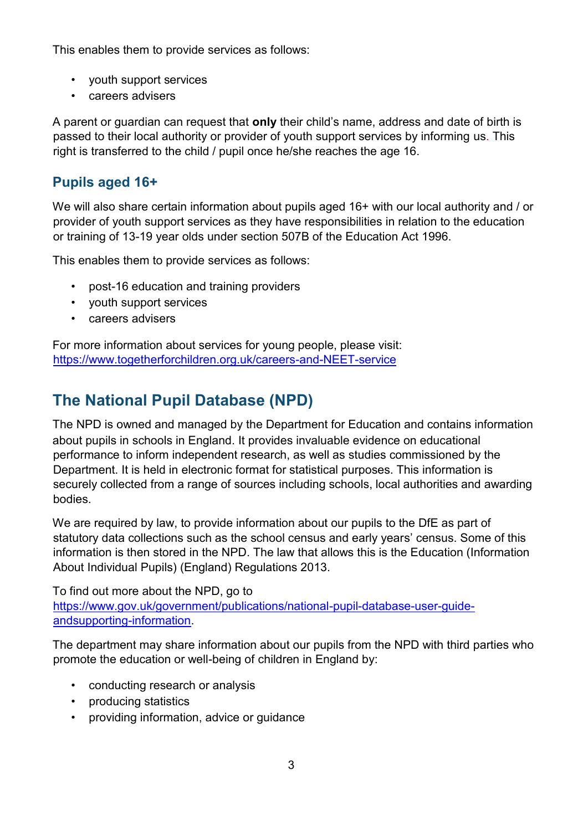This enables them to provide services as follows:

- youth support services
- careers advisers

A parent or guardian can request that **only** their child's name, address and date of birth is passed to their local authority or provider of youth support services by informing us. This right is transferred to the child / pupil once he/she reaches the age 16.

#### **Pupils aged 16+**

We will also share certain information about pupils aged 16+ with our local authority and / or provider of youth support services as they have responsibilities in relation to the education or training of 13-19 year olds under section 507B of the Education Act 1996.

This enables them to provide services as follows:

- post-16 education and training providers
- youth support services
- careers advisers

For more information about services for young people, please visit: <https://www.togetherforchildren.org.uk/careers-and-NEET-service>

## **The National Pupil Database (NPD)**

The NPD is owned and managed by the Department for Education and contains information about pupils in schools in England. It provides invaluable evidence on educational performance to inform independent research, as well as studies commissioned by the Department. It is held in electronic format for statistical purposes. This information is securely collected from a range of sources including schools, local authorities and awarding bodies.

We are required by law, to provide information about our pupils to the DfE as part of statutory data collections such as the school census and early years' census. Some of this information is then stored in the NPD. The law that allows this is the Education (Information About Individual Pupils) (England) Regulations 2013.

To find out more about the NPD, go to https://www.gov.uk/government/publications/national-pupil-database-user-guideandsupporting-information.

The department may share information about our pupils from the NPD with third parties who promote the education or well-being of children in England by:

- conducting research or analysis
- producing statistics
- providing information, advice or guidance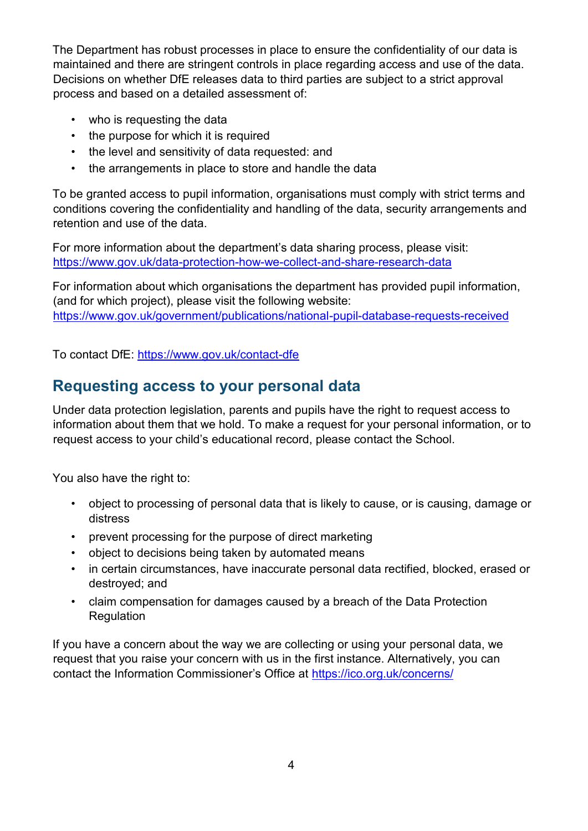The Department has robust processes in place to ensure the confidentiality of our data is maintained and there are stringent controls in place regarding access and use of the data. Decisions on whether DfE releases data to third parties are subject to a strict approval process and based on a detailed assessment of:

- who is requesting the data
- the purpose for which it is required
- the level and sensitivity of data requested: and
- the arrangements in place to store and handle the data

To be granted access to pupil information, organisations must comply with strict terms and conditions covering the confidentiality and handling of the data, security arrangements and retention and use of the data.

For more information about the department's data sharing process, please visit: https://www.gov.uk/data-protection-how-we-collect-and-share-research-data

For information about which organisations the department has provided pupil information, (and for which project), please visit the following website: https://www.gov.uk/government/publications/national-pupil-database-requests-received

To contact DfE: https://www.gov.uk/contact-dfe

## **Requesting access to your personal data**

Under data protection legislation, parents and pupils have the right to request access to information about them that we hold. To make a request for your personal information, or to request access to your child's educational record, please contact the School.

You also have the right to:

- object to processing of personal data that is likely to cause, or is causing, damage or distress
- prevent processing for the purpose of direct marketing
- object to decisions being taken by automated means
- in certain circumstances, have inaccurate personal data rectified, blocked, erased or destroyed; and
- claim compensation for damages caused by a breach of the Data Protection Regulation

If you have a concern about the way we are collecting or using your personal data, we request that you raise your concern with us in the first instance. Alternatively, you can contact the Information Commissioner's Office at https://ico.org.uk/concerns/